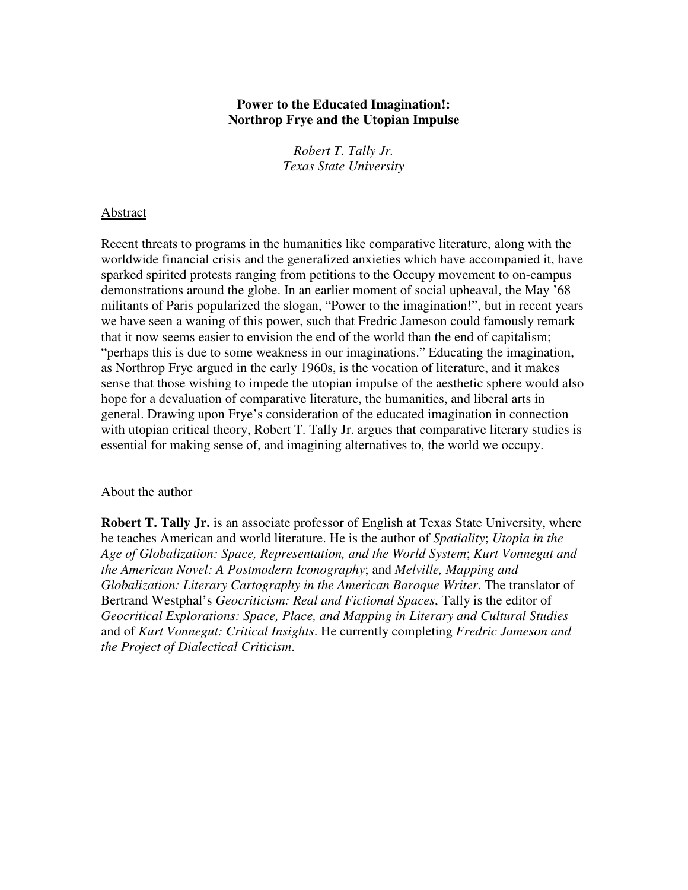# **Power to the Educated Imagination!: Northrop Frye and the Utopian Impulse**

*Robert T. Tally Jr. Texas State University* 

### Abstract

Recent threats to programs in the humanities like comparative literature, along with the worldwide financial crisis and the generalized anxieties which have accompanied it, have sparked spirited protests ranging from petitions to the Occupy movement to on-campus demonstrations around the globe. In an earlier moment of social upheaval, the May '68 militants of Paris popularized the slogan, "Power to the imagination!", but in recent years we have seen a waning of this power, such that Fredric Jameson could famously remark that it now seems easier to envision the end of the world than the end of capitalism; "perhaps this is due to some weakness in our imaginations." Educating the imagination, as Northrop Frye argued in the early 1960s, is the vocation of literature, and it makes sense that those wishing to impede the utopian impulse of the aesthetic sphere would also hope for a devaluation of comparative literature, the humanities, and liberal arts in general. Drawing upon Frye's consideration of the educated imagination in connection with utopian critical theory, Robert T. Tally Jr. argues that comparative literary studies is essential for making sense of, and imagining alternatives to, the world we occupy.

#### About the author

**Robert T. Tally Jr.** is an associate professor of English at Texas State University, where he teaches American and world literature. He is the author of *Spatiality*; *Utopia in the Age of Globalization: Space, Representation, and the World System*; *Kurt Vonnegut and the American Novel: A Postmodern Iconography*; and *Melville, Mapping and Globalization: Literary Cartography in the American Baroque Writer*. The translator of Bertrand Westphal's *Geocriticism: Real and Fictional Spaces*, Tally is the editor of *Geocritical Explorations: Space, Place, and Mapping in Literary and Cultural Studies* and of *Kurt Vonnegut: Critical Insights*. He currently completing *Fredric Jameson and the Project of Dialectical Criticism*.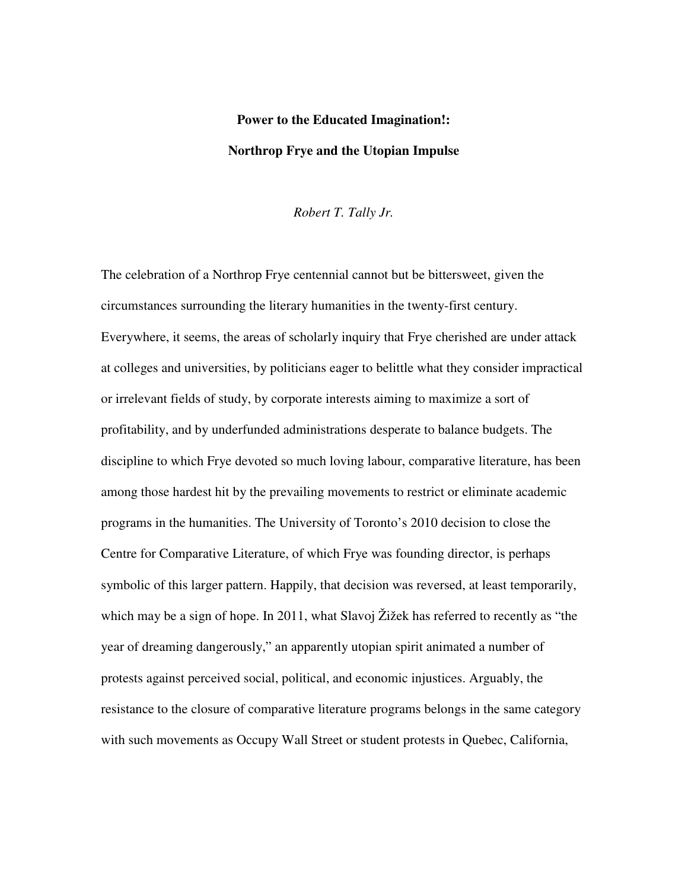# **Power to the Educated Imagination!: Northrop Frye and the Utopian Impulse**

*Robert T. Tally Jr.* 

The celebration of a Northrop Frye centennial cannot but be bittersweet, given the circumstances surrounding the literary humanities in the twenty-first century. Everywhere, it seems, the areas of scholarly inquiry that Frye cherished are under attack at colleges and universities, by politicians eager to belittle what they consider impractical or irrelevant fields of study, by corporate interests aiming to maximize a sort of profitability, and by underfunded administrations desperate to balance budgets. The discipline to which Frye devoted so much loving labour, comparative literature, has been among those hardest hit by the prevailing movements to restrict or eliminate academic programs in the humanities. The University of Toronto's 2010 decision to close the Centre for Comparative Literature, of which Frye was founding director, is perhaps symbolic of this larger pattern. Happily, that decision was reversed, at least temporarily, which may be a sign of hope. In 2011, what Slavoj Žižek has referred to recently as "the year of dreaming dangerously," an apparently utopian spirit animated a number of protests against perceived social, political, and economic injustices. Arguably, the resistance to the closure of comparative literature programs belongs in the same category with such movements as Occupy Wall Street or student protests in Quebec, California,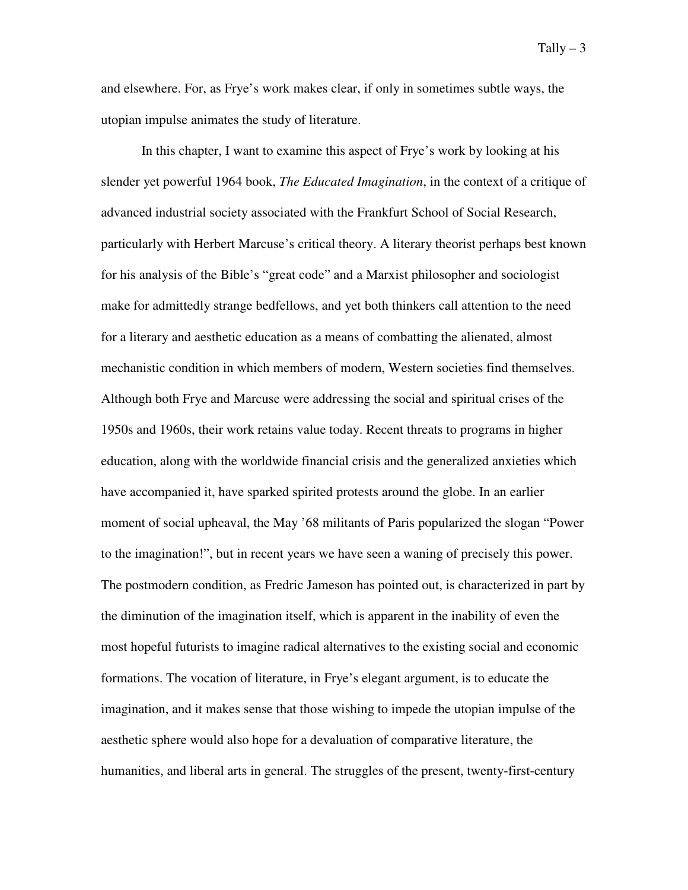and elsewhere. For, as Frye's work makes clear, if only in sometimes subtle ways, the utopian impulse animates the study of literature.

 In this chapter, I want to examine this aspect of Frye's work by looking at his slender yet powerful 1964 book, *The Educated Imagination*, in the context of a critique of advanced industrial society associated with the Frankfurt School of Social Research, particularly with Herbert Marcuse's critical theory. A literary theorist perhaps best known for his analysis of the Bible's "great code" and a Marxist philosopher and sociologist make for admittedly strange bedfellows, and yet both thinkers call attention to the need for a literary and aesthetic education as a means of combatting the alienated, almost mechanistic condition in which members of modern, Western societies find themselves. Although both Frye and Marcuse were addressing the social and spiritual crises of the 1950s and 1960s, their work retains value today. Recent threats to programs in higher education, along with the worldwide financial crisis and the generalized anxieties which have accompanied it, have sparked spirited protests around the globe. In an earlier moment of social upheaval, the May '68 militants of Paris popularized the slogan "Power to the imagination!", but in recent years we have seen a waning of precisely this power. The postmodern condition, as Fredric Jameson has pointed out, is characterized in part by the diminution of the imagination itself, which is apparent in the inability of even the most hopeful futurists to imagine radical alternatives to the existing social and economic formations. The vocation of literature, in Frye's elegant argument, is to educate the imagination, and it makes sense that those wishing to impede the utopian impulse of the aesthetic sphere would also hope for a devaluation of comparative literature, the humanities, and liberal arts in general. The struggles of the present, twenty-first-century

Tally  $-3$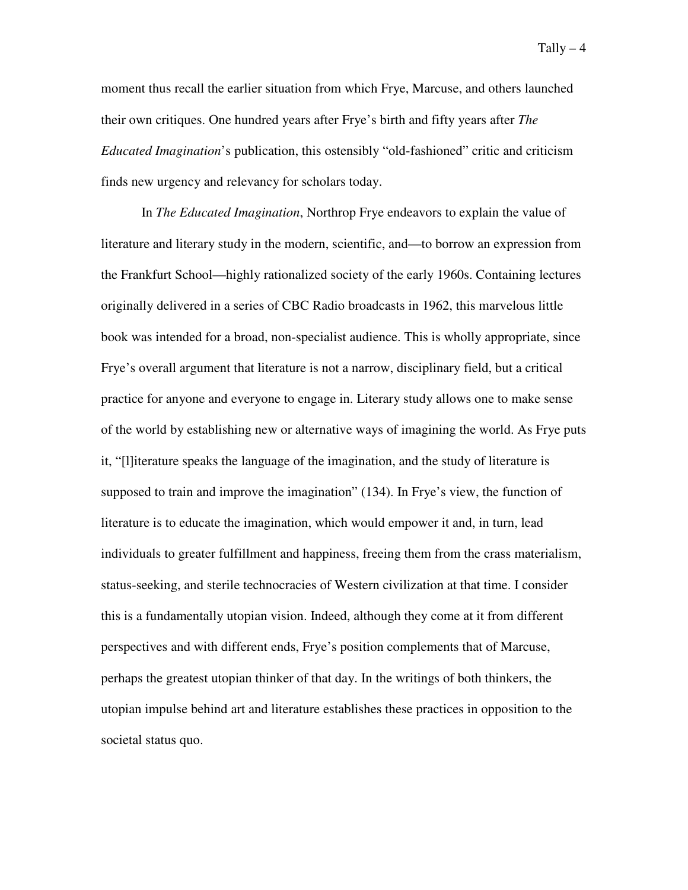moment thus recall the earlier situation from which Frye, Marcuse, and others launched their own critiques. One hundred years after Frye's birth and fifty years after *The Educated Imagination*'s publication, this ostensibly "old-fashioned" critic and criticism

finds new urgency and relevancy for scholars today.

 In *The Educated Imagination*, Northrop Frye endeavors to explain the value of literature and literary study in the modern, scientific, and—to borrow an expression from the Frankfurt School—highly rationalized society of the early 1960s. Containing lectures originally delivered in a series of CBC Radio broadcasts in 1962, this marvelous little book was intended for a broad, non-specialist audience. This is wholly appropriate, since Frye's overall argument that literature is not a narrow, disciplinary field, but a critical practice for anyone and everyone to engage in. Literary study allows one to make sense of the world by establishing new or alternative ways of imagining the world. As Frye puts it, "[l]iterature speaks the language of the imagination, and the study of literature is supposed to train and improve the imagination" (134). In Frye's view, the function of literature is to educate the imagination, which would empower it and, in turn, lead individuals to greater fulfillment and happiness, freeing them from the crass materialism, status-seeking, and sterile technocracies of Western civilization at that time. I consider this is a fundamentally utopian vision. Indeed, although they come at it from different perspectives and with different ends, Frye's position complements that of Marcuse, perhaps the greatest utopian thinker of that day. In the writings of both thinkers, the utopian impulse behind art and literature establishes these practices in opposition to the societal status quo.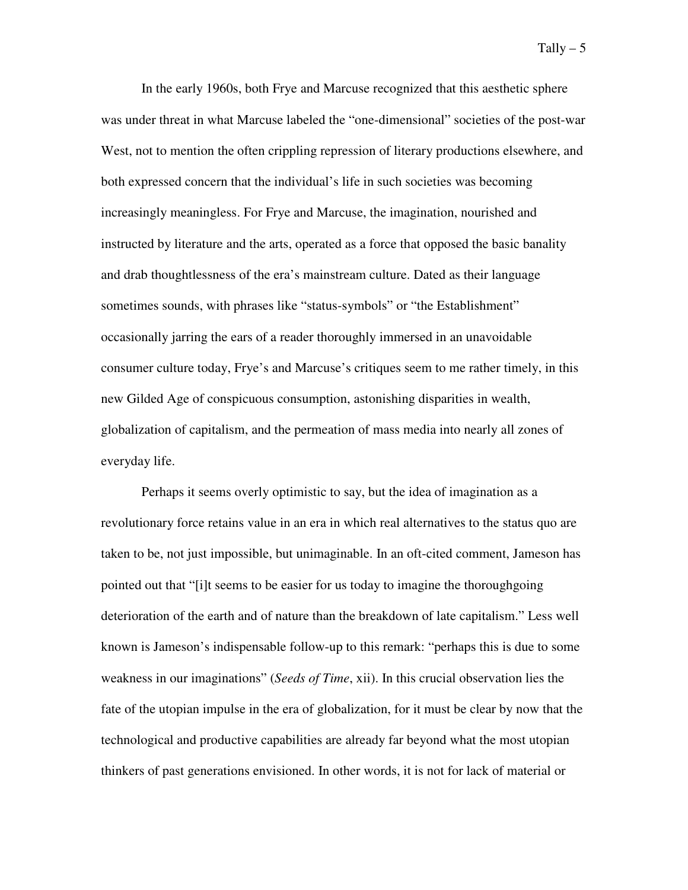In the early 1960s, both Frye and Marcuse recognized that this aesthetic sphere was under threat in what Marcuse labeled the "one-dimensional" societies of the post-war West, not to mention the often crippling repression of literary productions elsewhere, and both expressed concern that the individual's life in such societies was becoming increasingly meaningless. For Frye and Marcuse, the imagination, nourished and instructed by literature and the arts, operated as a force that opposed the basic banality and drab thoughtlessness of the era's mainstream culture. Dated as their language sometimes sounds, with phrases like "status-symbols" or "the Establishment" occasionally jarring the ears of a reader thoroughly immersed in an unavoidable consumer culture today, Frye's and Marcuse's critiques seem to me rather timely, in this new Gilded Age of conspicuous consumption, astonishing disparities in wealth, globalization of capitalism, and the permeation of mass media into nearly all zones of everyday life.

 Perhaps it seems overly optimistic to say, but the idea of imagination as a revolutionary force retains value in an era in which real alternatives to the status quo are taken to be, not just impossible, but unimaginable. In an oft-cited comment, Jameson has pointed out that "[i]t seems to be easier for us today to imagine the thoroughgoing deterioration of the earth and of nature than the breakdown of late capitalism." Less well known is Jameson's indispensable follow-up to this remark: "perhaps this is due to some weakness in our imaginations" (*Seeds of Time*, xii). In this crucial observation lies the fate of the utopian impulse in the era of globalization, for it must be clear by now that the technological and productive capabilities are already far beyond what the most utopian thinkers of past generations envisioned. In other words, it is not for lack of material or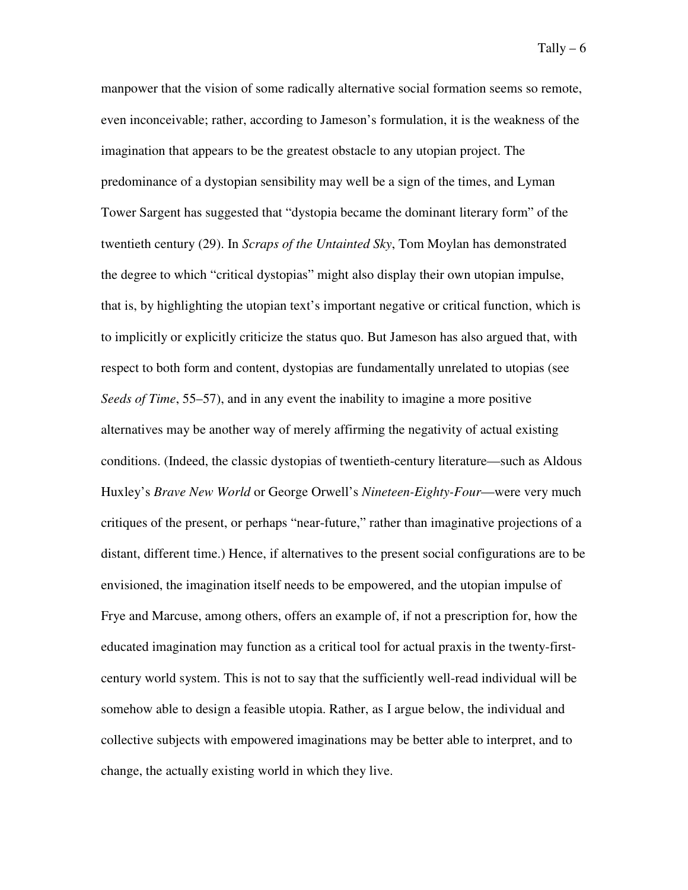manpower that the vision of some radically alternative social formation seems so remote, even inconceivable; rather, according to Jameson's formulation, it is the weakness of the imagination that appears to be the greatest obstacle to any utopian project. The predominance of a dystopian sensibility may well be a sign of the times, and Lyman Tower Sargent has suggested that "dystopia became the dominant literary form" of the twentieth century (29). In *Scraps of the Untainted Sky*, Tom Moylan has demonstrated the degree to which "critical dystopias" might also display their own utopian impulse, that is, by highlighting the utopian text's important negative or critical function, which is to implicitly or explicitly criticize the status quo. But Jameson has also argued that, with respect to both form and content, dystopias are fundamentally unrelated to utopias (see *Seeds of Time*, 55–57), and in any event the inability to imagine a more positive alternatives may be another way of merely affirming the negativity of actual existing conditions. (Indeed, the classic dystopias of twentieth-century literature—such as Aldous Huxley's *Brave New World* or George Orwell's *Nineteen-Eighty-Four*—were very much critiques of the present, or perhaps "near-future," rather than imaginative projections of a distant, different time.) Hence, if alternatives to the present social configurations are to be envisioned, the imagination itself needs to be empowered, and the utopian impulse of Frye and Marcuse, among others, offers an example of, if not a prescription for, how the educated imagination may function as a critical tool for actual praxis in the twenty-firstcentury world system. This is not to say that the sufficiently well-read individual will be somehow able to design a feasible utopia. Rather, as I argue below, the individual and collective subjects with empowered imaginations may be better able to interpret, and to change, the actually existing world in which they live.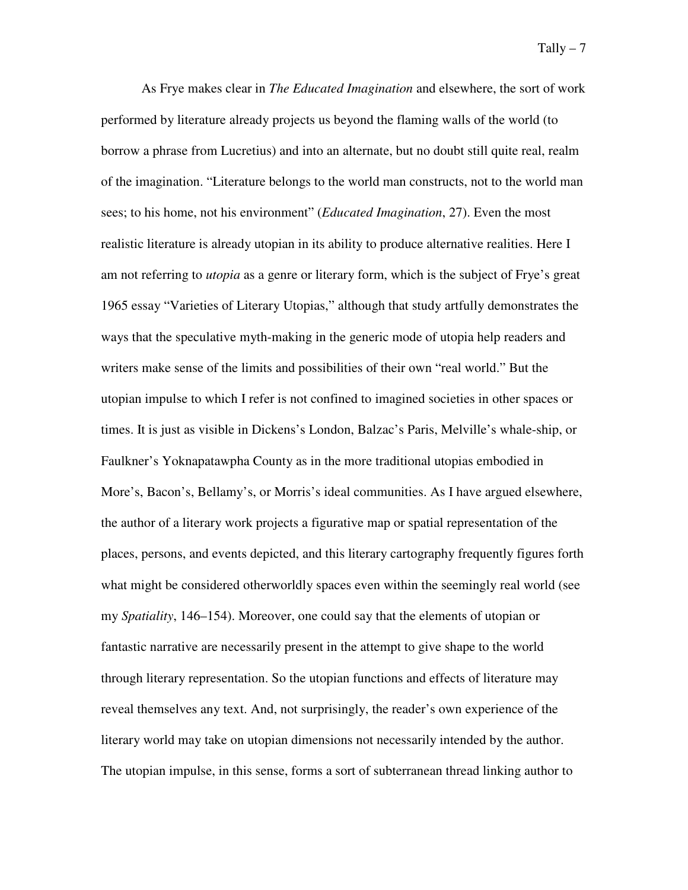As Frye makes clear in *The Educated Imagination* and elsewhere, the sort of work performed by literature already projects us beyond the flaming walls of the world (to borrow a phrase from Lucretius) and into an alternate, but no doubt still quite real, realm of the imagination. "Literature belongs to the world man constructs, not to the world man sees; to his home, not his environment" (*Educated Imagination*, 27). Even the most realistic literature is already utopian in its ability to produce alternative realities. Here I am not referring to *utopia* as a genre or literary form, which is the subject of Frye's great 1965 essay "Varieties of Literary Utopias," although that study artfully demonstrates the ways that the speculative myth-making in the generic mode of utopia help readers and writers make sense of the limits and possibilities of their own "real world." But the utopian impulse to which I refer is not confined to imagined societies in other spaces or times. It is just as visible in Dickens's London, Balzac's Paris, Melville's whale-ship, or Faulkner's Yoknapatawpha County as in the more traditional utopias embodied in More's, Bacon's, Bellamy's, or Morris's ideal communities. As I have argued elsewhere, the author of a literary work projects a figurative map or spatial representation of the places, persons, and events depicted, and this literary cartography frequently figures forth what might be considered otherworldly spaces even within the seemingly real world (see my *Spatiality*, 146–154). Moreover, one could say that the elements of utopian or fantastic narrative are necessarily present in the attempt to give shape to the world through literary representation. So the utopian functions and effects of literature may reveal themselves any text. And, not surprisingly, the reader's own experience of the literary world may take on utopian dimensions not necessarily intended by the author. The utopian impulse, in this sense, forms a sort of subterranean thread linking author to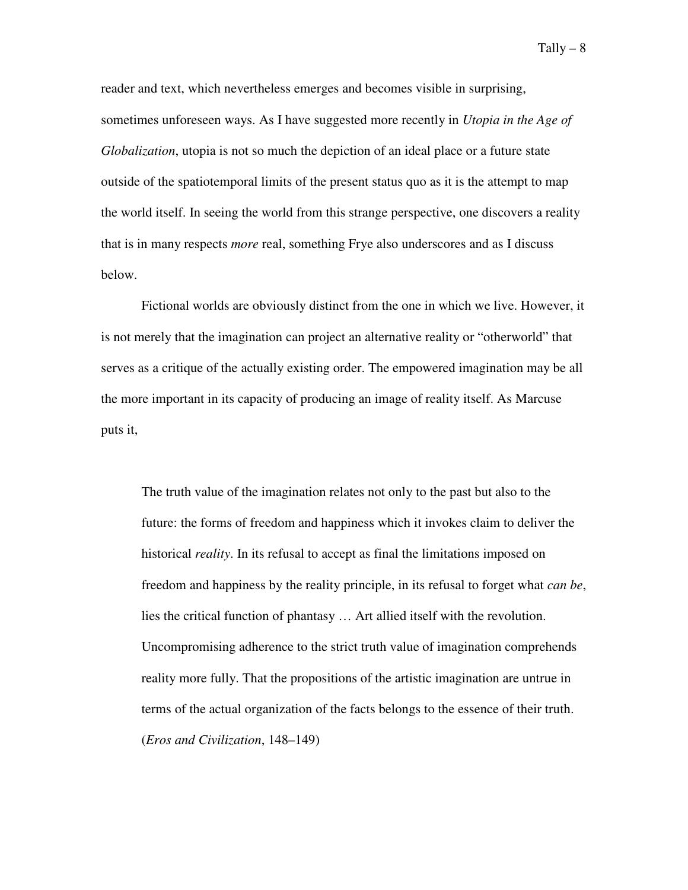reader and text, which nevertheless emerges and becomes visible in surprising, sometimes unforeseen ways. As I have suggested more recently in *Utopia in the Age of Globalization*, utopia is not so much the depiction of an ideal place or a future state outside of the spatiotemporal limits of the present status quo as it is the attempt to map the world itself. In seeing the world from this strange perspective, one discovers a reality that is in many respects *more* real, something Frye also underscores and as I discuss below.

 Fictional worlds are obviously distinct from the one in which we live. However, it is not merely that the imagination can project an alternative reality or "otherworld" that serves as a critique of the actually existing order. The empowered imagination may be all the more important in its capacity of producing an image of reality itself. As Marcuse puts it,

The truth value of the imagination relates not only to the past but also to the future: the forms of freedom and happiness which it invokes claim to deliver the historical *reality*. In its refusal to accept as final the limitations imposed on freedom and happiness by the reality principle, in its refusal to forget what *can be*, lies the critical function of phantasy … Art allied itself with the revolution. Uncompromising adherence to the strict truth value of imagination comprehends reality more fully. That the propositions of the artistic imagination are untrue in terms of the actual organization of the facts belongs to the essence of their truth. (*Eros and Civilization*, 148–149)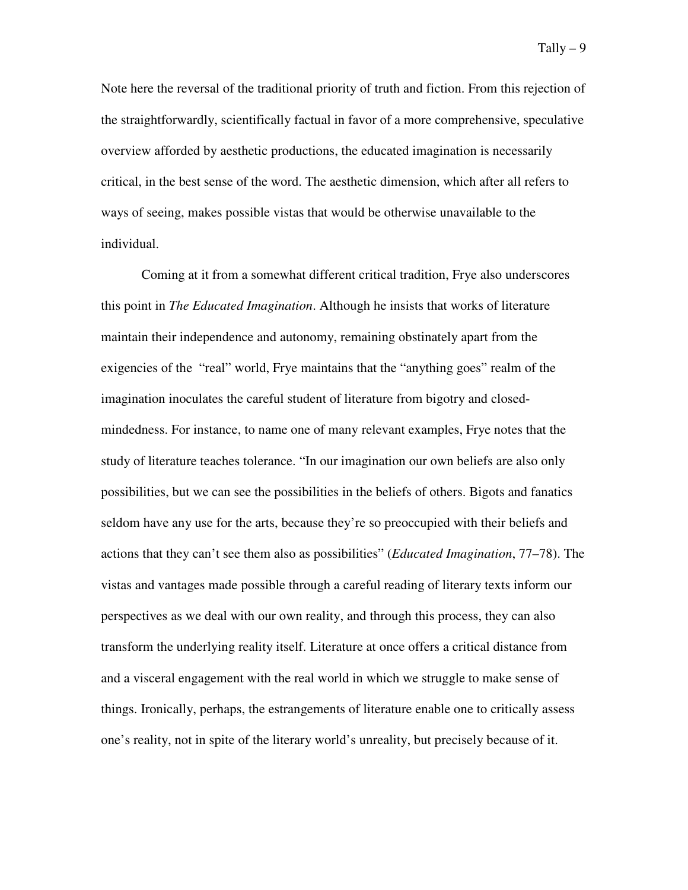Note here the reversal of the traditional priority of truth and fiction. From this rejection of the straightforwardly, scientifically factual in favor of a more comprehensive, speculative overview afforded by aesthetic productions, the educated imagination is necessarily critical, in the best sense of the word. The aesthetic dimension, which after all refers to ways of seeing, makes possible vistas that would be otherwise unavailable to the individual.

 Coming at it from a somewhat different critical tradition, Frye also underscores this point in *The Educated Imagination*. Although he insists that works of literature maintain their independence and autonomy, remaining obstinately apart from the exigencies of the "real" world, Frye maintains that the "anything goes" realm of the imagination inoculates the careful student of literature from bigotry and closedmindedness. For instance, to name one of many relevant examples, Frye notes that the study of literature teaches tolerance. "In our imagination our own beliefs are also only possibilities, but we can see the possibilities in the beliefs of others. Bigots and fanatics seldom have any use for the arts, because they're so preoccupied with their beliefs and actions that they can't see them also as possibilities" (*Educated Imagination*, 77–78). The vistas and vantages made possible through a careful reading of literary texts inform our perspectives as we deal with our own reality, and through this process, they can also transform the underlying reality itself. Literature at once offers a critical distance from and a visceral engagement with the real world in which we struggle to make sense of things. Ironically, perhaps, the estrangements of literature enable one to critically assess one's reality, not in spite of the literary world's unreality, but precisely because of it.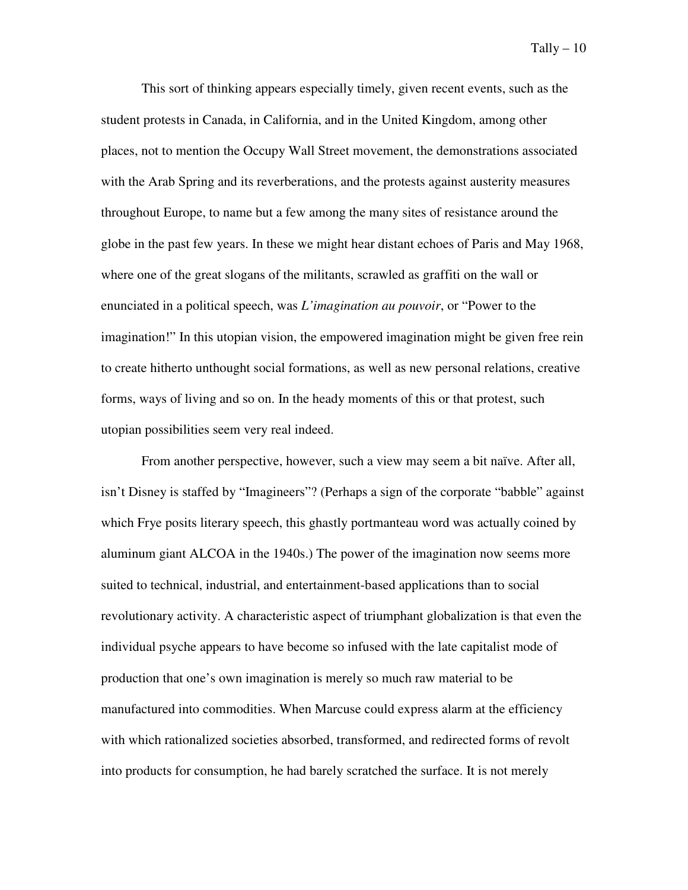This sort of thinking appears especially timely, given recent events, such as the student protests in Canada, in California, and in the United Kingdom, among other places, not to mention the Occupy Wall Street movement, the demonstrations associated with the Arab Spring and its reverberations, and the protests against austerity measures throughout Europe, to name but a few among the many sites of resistance around the globe in the past few years. In these we might hear distant echoes of Paris and May 1968, where one of the great slogans of the militants, scrawled as graffiti on the wall or enunciated in a political speech, was *L'imagination au pouvoir*, or "Power to the imagination!" In this utopian vision, the empowered imagination might be given free rein to create hitherto unthought social formations, as well as new personal relations, creative forms, ways of living and so on. In the heady moments of this or that protest, such utopian possibilities seem very real indeed.

 From another perspective, however, such a view may seem a bit naïve. After all, isn't Disney is staffed by "Imagineers"? (Perhaps a sign of the corporate "babble" against which Frye posits literary speech, this ghastly portmanteau word was actually coined by aluminum giant ALCOA in the 1940s.) The power of the imagination now seems more suited to technical, industrial, and entertainment-based applications than to social revolutionary activity. A characteristic aspect of triumphant globalization is that even the individual psyche appears to have become so infused with the late capitalist mode of production that one's own imagination is merely so much raw material to be manufactured into commodities. When Marcuse could express alarm at the efficiency with which rationalized societies absorbed, transformed, and redirected forms of revolt into products for consumption, he had barely scratched the surface. It is not merely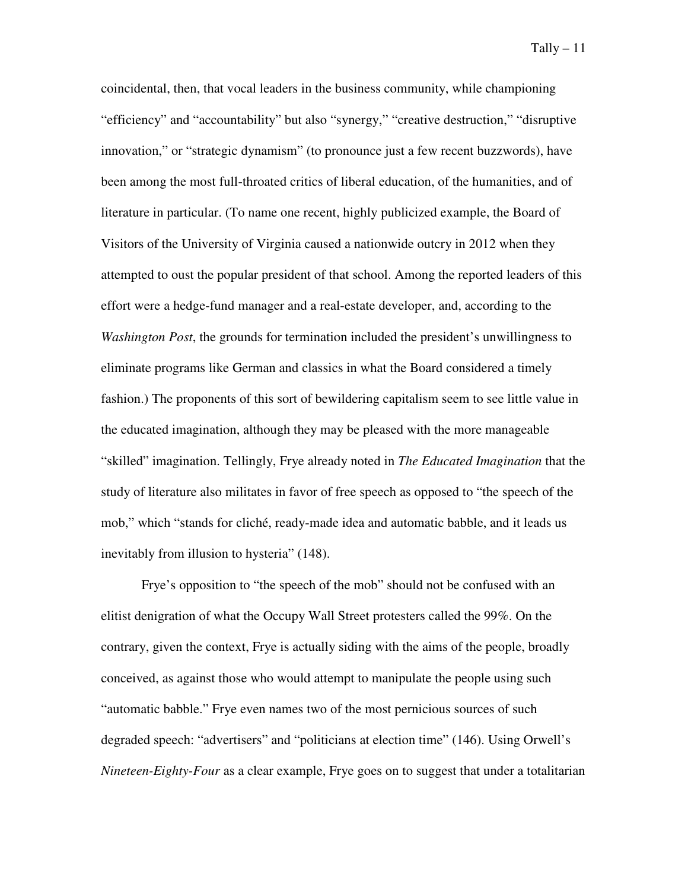coincidental, then, that vocal leaders in the business community, while championing "efficiency" and "accountability" but also "synergy," "creative destruction," "disruptive innovation," or "strategic dynamism" (to pronounce just a few recent buzzwords), have been among the most full-throated critics of liberal education, of the humanities, and of literature in particular. (To name one recent, highly publicized example, the Board of Visitors of the University of Virginia caused a nationwide outcry in 2012 when they attempted to oust the popular president of that school. Among the reported leaders of this effort were a hedge-fund manager and a real-estate developer, and, according to the *Washington Post*, the grounds for termination included the president's unwillingness to eliminate programs like German and classics in what the Board considered a timely fashion.) The proponents of this sort of bewildering capitalism seem to see little value in the educated imagination, although they may be pleased with the more manageable "skilled" imagination. Tellingly, Frye already noted in *The Educated Imagination* that the study of literature also militates in favor of free speech as opposed to "the speech of the mob," which "stands for cliché, ready-made idea and automatic babble, and it leads us inevitably from illusion to hysteria" (148).

 Frye's opposition to "the speech of the mob" should not be confused with an elitist denigration of what the Occupy Wall Street protesters called the 99%. On the contrary, given the context, Frye is actually siding with the aims of the people, broadly conceived, as against those who would attempt to manipulate the people using such "automatic babble." Frye even names two of the most pernicious sources of such degraded speech: "advertisers" and "politicians at election time" (146). Using Orwell's *Nineteen-Eighty-Four* as a clear example, Frye goes on to suggest that under a totalitarian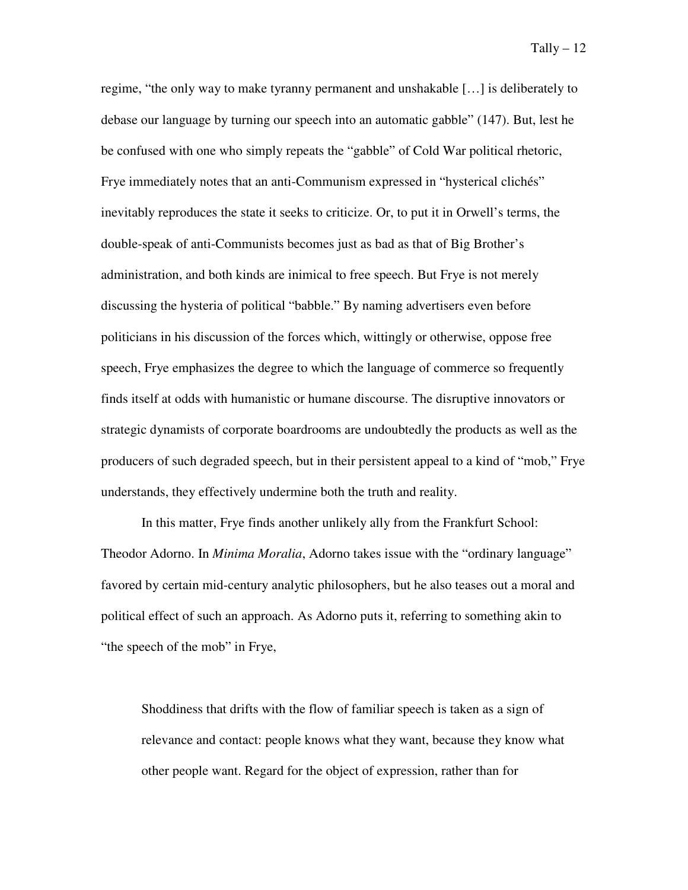regime, "the only way to make tyranny permanent and unshakable […] is deliberately to debase our language by turning our speech into an automatic gabble" (147). But, lest he be confused with one who simply repeats the "gabble" of Cold War political rhetoric, Frye immediately notes that an anti-Communism expressed in "hysterical clichés" inevitably reproduces the state it seeks to criticize. Or, to put it in Orwell's terms, the double-speak of anti-Communists becomes just as bad as that of Big Brother's administration, and both kinds are inimical to free speech. But Frye is not merely discussing the hysteria of political "babble." By naming advertisers even before politicians in his discussion of the forces which, wittingly or otherwise, oppose free speech, Frye emphasizes the degree to which the language of commerce so frequently finds itself at odds with humanistic or humane discourse. The disruptive innovators or strategic dynamists of corporate boardrooms are undoubtedly the products as well as the producers of such degraded speech, but in their persistent appeal to a kind of "mob," Frye understands, they effectively undermine both the truth and reality.

 In this matter, Frye finds another unlikely ally from the Frankfurt School: Theodor Adorno. In *Minima Moralia*, Adorno takes issue with the "ordinary language" favored by certain mid-century analytic philosophers, but he also teases out a moral and political effect of such an approach. As Adorno puts it, referring to something akin to "the speech of the mob" in Frye,

Shoddiness that drifts with the flow of familiar speech is taken as a sign of relevance and contact: people knows what they want, because they know what other people want. Regard for the object of expression, rather than for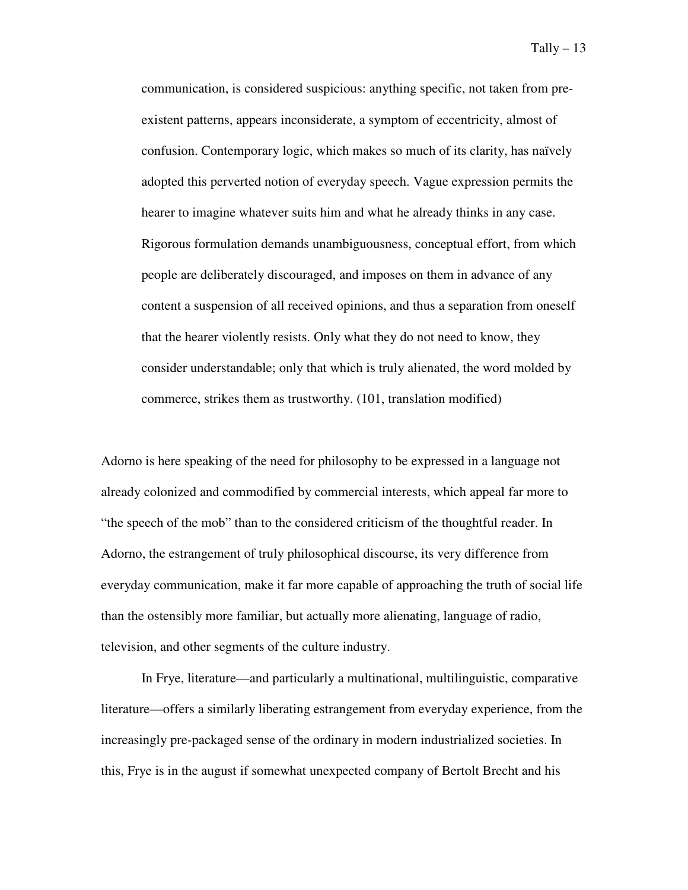communication, is considered suspicious: anything specific, not taken from preexistent patterns, appears inconsiderate, a symptom of eccentricity, almost of confusion. Contemporary logic, which makes so much of its clarity, has naïvely adopted this perverted notion of everyday speech. Vague expression permits the hearer to imagine whatever suits him and what he already thinks in any case. Rigorous formulation demands unambiguousness, conceptual effort, from which people are deliberately discouraged, and imposes on them in advance of any content a suspension of all received opinions, and thus a separation from oneself that the hearer violently resists. Only what they do not need to know, they consider understandable; only that which is truly alienated, the word molded by commerce, strikes them as trustworthy. (101, translation modified)

Adorno is here speaking of the need for philosophy to be expressed in a language not already colonized and commodified by commercial interests, which appeal far more to "the speech of the mob" than to the considered criticism of the thoughtful reader. In Adorno, the estrangement of truly philosophical discourse, its very difference from everyday communication, make it far more capable of approaching the truth of social life than the ostensibly more familiar, but actually more alienating, language of radio, television, and other segments of the culture industry.

 In Frye, literature—and particularly a multinational, multilinguistic, comparative literature—offers a similarly liberating estrangement from everyday experience, from the increasingly pre-packaged sense of the ordinary in modern industrialized societies. In this, Frye is in the august if somewhat unexpected company of Bertolt Brecht and his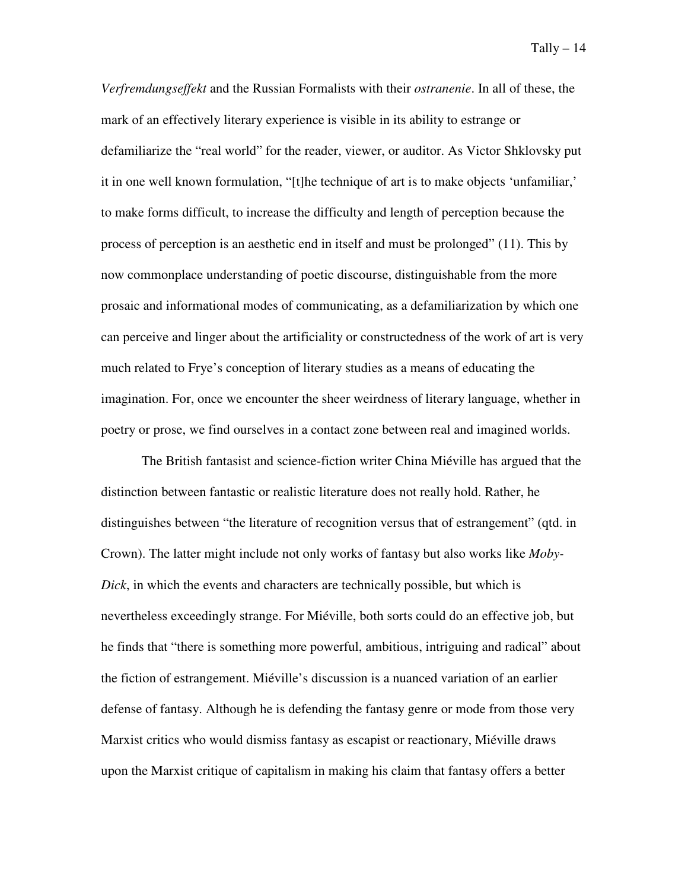*Verfremdungseffekt* and the Russian Formalists with their *ostranenie*. In all of these, the mark of an effectively literary experience is visible in its ability to estrange or defamiliarize the "real world" for the reader, viewer, or auditor. As Victor Shklovsky put it in one well known formulation, "[t]he technique of art is to make objects 'unfamiliar,' to make forms difficult, to increase the difficulty and length of perception because the process of perception is an aesthetic end in itself and must be prolonged" (11). This by now commonplace understanding of poetic discourse, distinguishable from the more prosaic and informational modes of communicating, as a defamiliarization by which one can perceive and linger about the artificiality or constructedness of the work of art is very much related to Frye's conception of literary studies as a means of educating the imagination. For, once we encounter the sheer weirdness of literary language, whether in poetry or prose, we find ourselves in a contact zone between real and imagined worlds.

 The British fantasist and science-fiction writer China Miéville has argued that the distinction between fantastic or realistic literature does not really hold. Rather, he distinguishes between "the literature of recognition versus that of estrangement" (qtd. in Crown). The latter might include not only works of fantasy but also works like *Moby-Dick*, in which the events and characters are technically possible, but which is nevertheless exceedingly strange. For Miéville, both sorts could do an effective job, but he finds that "there is something more powerful, ambitious, intriguing and radical" about the fiction of estrangement. Miéville's discussion is a nuanced variation of an earlier defense of fantasy. Although he is defending the fantasy genre or mode from those very Marxist critics who would dismiss fantasy as escapist or reactionary, Miéville draws upon the Marxist critique of capitalism in making his claim that fantasy offers a better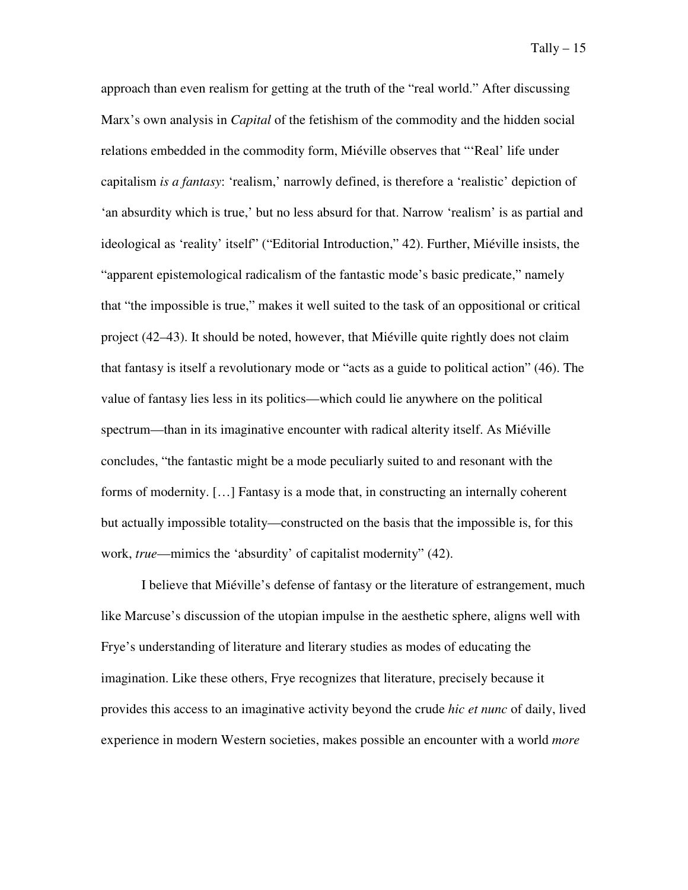approach than even realism for getting at the truth of the "real world." After discussing Marx's own analysis in *Capital* of the fetishism of the commodity and the hidden social relations embedded in the commodity form, Miéville observes that "'Real' life under capitalism *is a fantasy*: 'realism,' narrowly defined, is therefore a 'realistic' depiction of 'an absurdity which is true,' but no less absurd for that. Narrow 'realism' is as partial and ideological as 'reality' itself" ("Editorial Introduction," 42). Further, Miéville insists, the "apparent epistemological radicalism of the fantastic mode's basic predicate," namely that "the impossible is true," makes it well suited to the task of an oppositional or critical project (42–43). It should be noted, however, that Miéville quite rightly does not claim that fantasy is itself a revolutionary mode or "acts as a guide to political action" (46). The value of fantasy lies less in its politics—which could lie anywhere on the political spectrum—than in its imaginative encounter with radical alterity itself. As Miéville concludes, "the fantastic might be a mode peculiarly suited to and resonant with the forms of modernity. […] Fantasy is a mode that, in constructing an internally coherent but actually impossible totality—constructed on the basis that the impossible is, for this work, *true*—mimics the 'absurdity' of capitalist modernity" (42).

 I believe that Miéville's defense of fantasy or the literature of estrangement, much like Marcuse's discussion of the utopian impulse in the aesthetic sphere, aligns well with Frye's understanding of literature and literary studies as modes of educating the imagination. Like these others, Frye recognizes that literature, precisely because it provides this access to an imaginative activity beyond the crude *hic et nunc* of daily, lived experience in modern Western societies, makes possible an encounter with a world *more*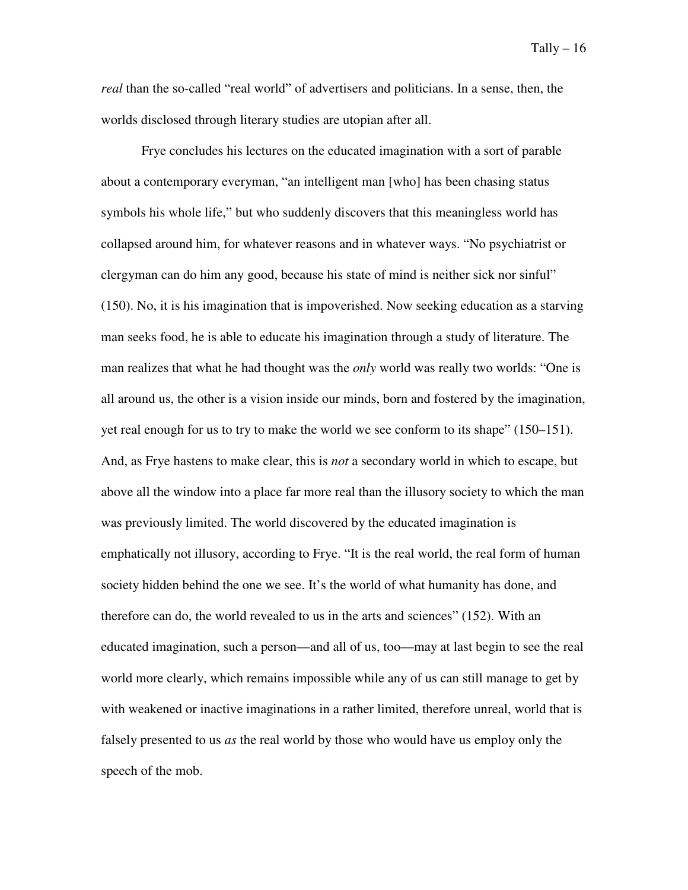*real* than the so-called "real world" of advertisers and politicians. In a sense, then, the worlds disclosed through literary studies are utopian after all.

 Frye concludes his lectures on the educated imagination with a sort of parable about a contemporary everyman, "an intelligent man [who] has been chasing status symbols his whole life," but who suddenly discovers that this meaningless world has collapsed around him, for whatever reasons and in whatever ways. "No psychiatrist or clergyman can do him any good, because his state of mind is neither sick nor sinful" (150). No, it is his imagination that is impoverished. Now seeking education as a starving man seeks food, he is able to educate his imagination through a study of literature. The man realizes that what he had thought was the *only* world was really two worlds: "One is all around us, the other is a vision inside our minds, born and fostered by the imagination, yet real enough for us to try to make the world we see conform to its shape" (150–151). And, as Frye hastens to make clear, this is *not* a secondary world in which to escape, but above all the window into a place far more real than the illusory society to which the man was previously limited. The world discovered by the educated imagination is emphatically not illusory, according to Frye. "It is the real world, the real form of human society hidden behind the one we see. It's the world of what humanity has done, and therefore can do, the world revealed to us in the arts and sciences" (152). With an educated imagination, such a person—and all of us, too—may at last begin to see the real world more clearly, which remains impossible while any of us can still manage to get by with weakened or inactive imaginations in a rather limited, therefore unreal, world that is falsely presented to us *as* the real world by those who would have us employ only the speech of the mob.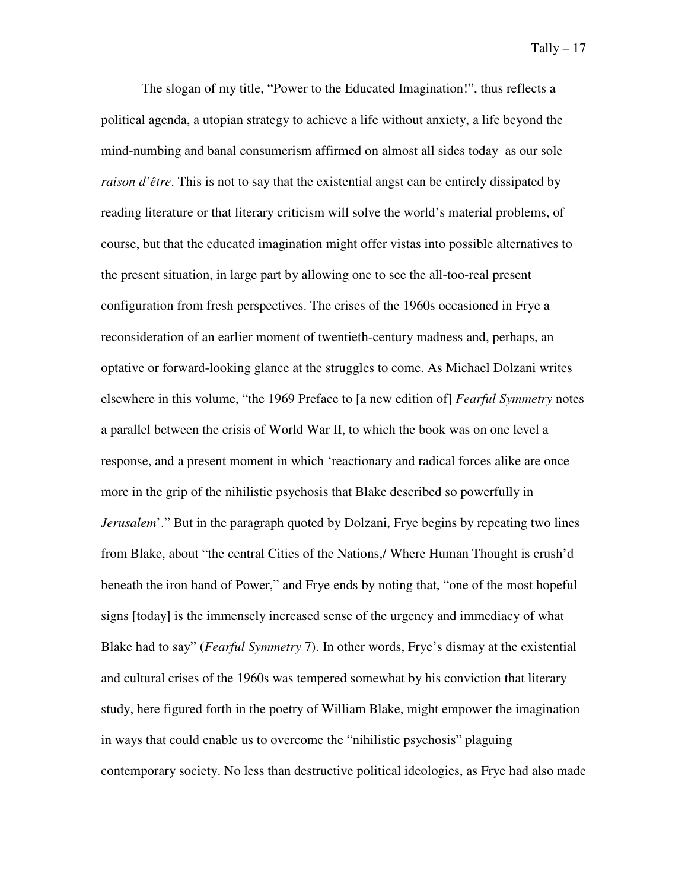The slogan of my title, "Power to the Educated Imagination!", thus reflects a political agenda, a utopian strategy to achieve a life without anxiety, a life beyond the mind-numbing and banal consumerism affirmed on almost all sides today as our sole *raison d'être*. This is not to say that the existential angst can be entirely dissipated by reading literature or that literary criticism will solve the world's material problems, of course, but that the educated imagination might offer vistas into possible alternatives to the present situation, in large part by allowing one to see the all-too-real present configuration from fresh perspectives. The crises of the 1960s occasioned in Frye a reconsideration of an earlier moment of twentieth-century madness and, perhaps, an optative or forward-looking glance at the struggles to come. As Michael Dolzani writes elsewhere in this volume, "the 1969 Preface to [a new edition of] *Fearful Symmetry* notes a parallel between the crisis of World War II, to which the book was on one level a response, and a present moment in which 'reactionary and radical forces alike are once more in the grip of the nihilistic psychosis that Blake described so powerfully in *Jerusalem*'." But in the paragraph quoted by Dolzani, Frye begins by repeating two lines from Blake, about "the central Cities of the Nations,/ Where Human Thought is crush'd beneath the iron hand of Power," and Frye ends by noting that, "one of the most hopeful signs [today] is the immensely increased sense of the urgency and immediacy of what Blake had to say" (*Fearful Symmetry* 7). In other words, Frye's dismay at the existential and cultural crises of the 1960s was tempered somewhat by his conviction that literary study, here figured forth in the poetry of William Blake, might empower the imagination in ways that could enable us to overcome the "nihilistic psychosis" plaguing contemporary society. No less than destructive political ideologies, as Frye had also made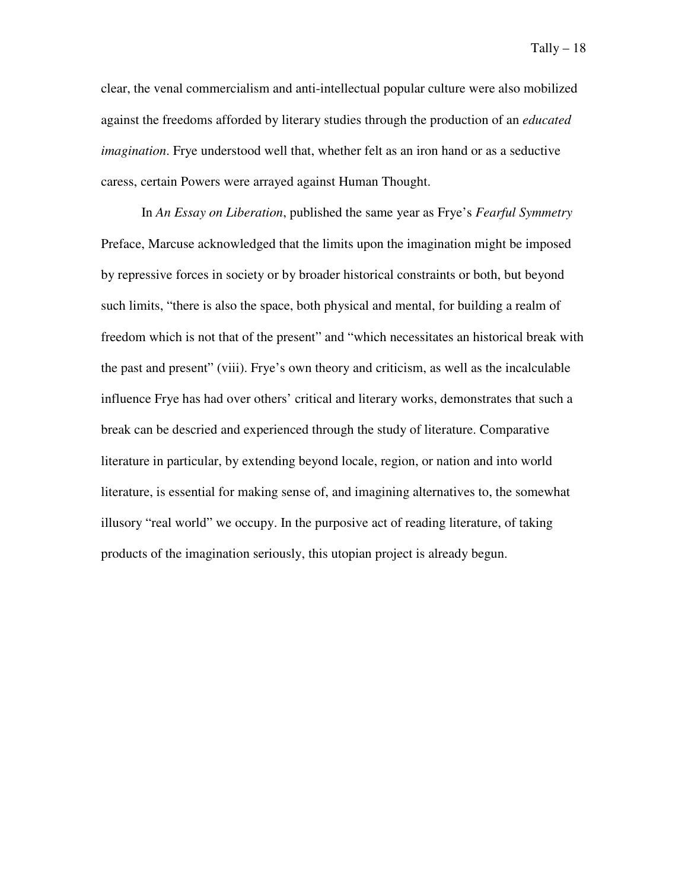clear, the venal commercialism and anti-intellectual popular culture were also mobilized against the freedoms afforded by literary studies through the production of an *educated imagination*. Frye understood well that, whether felt as an iron hand or as a seductive caress, certain Powers were arrayed against Human Thought.

 In *An Essay on Liberation*, published the same year as Frye's *Fearful Symmetry* Preface, Marcuse acknowledged that the limits upon the imagination might be imposed by repressive forces in society or by broader historical constraints or both, but beyond such limits, "there is also the space, both physical and mental, for building a realm of freedom which is not that of the present" and "which necessitates an historical break with the past and present" (viii). Frye's own theory and criticism, as well as the incalculable influence Frye has had over others' critical and literary works, demonstrates that such a break can be descried and experienced through the study of literature. Comparative literature in particular, by extending beyond locale, region, or nation and into world literature, is essential for making sense of, and imagining alternatives to, the somewhat illusory "real world" we occupy. In the purposive act of reading literature, of taking products of the imagination seriously, this utopian project is already begun.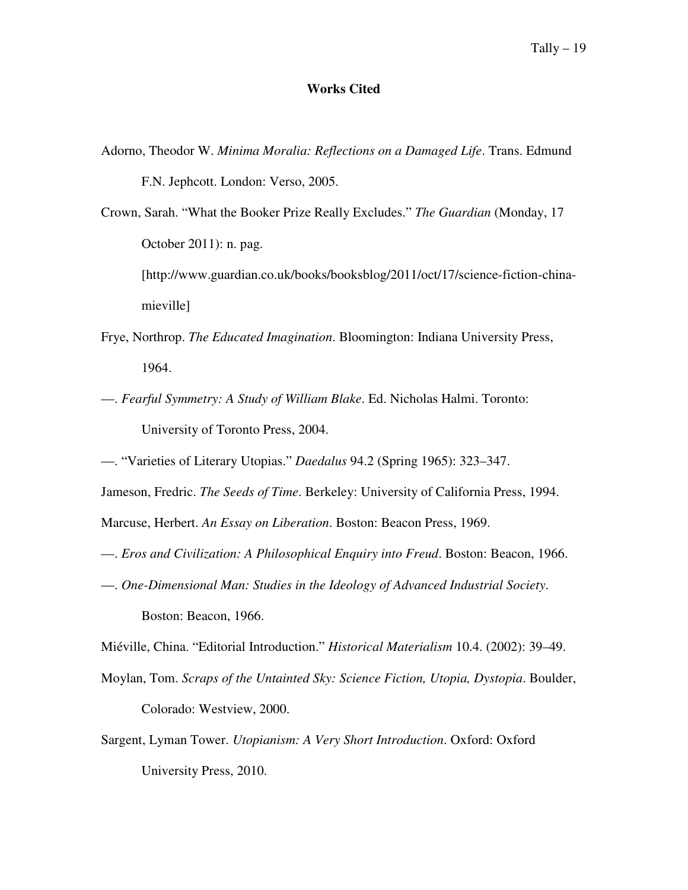## **Works Cited**

- Adorno, Theodor W. *Minima Moralia: Reflections on a Damaged Life*. Trans. Edmund F.N. Jephcott. London: Verso, 2005.
- Crown, Sarah. "What the Booker Prize Really Excludes." *The Guardian* (Monday, 17 October 2011): n. pag.
	- [http://www.guardian.co.uk/books/booksblog/2011/oct/17/science-fiction-chinamieville]
- Frye, Northrop. *The Educated Imagination*. Bloomington: Indiana University Press, 1964.
- —. *Fearful Symmetry: A Study of William Blake*. Ed. Nicholas Halmi. Toronto: University of Toronto Press, 2004.
- —. "Varieties of Literary Utopias." *Daedalus* 94.2 (Spring 1965): 323–347.
- Jameson, Fredric. *The Seeds of Time*. Berkeley: University of California Press, 1994.
- Marcuse, Herbert. *An Essay on Liberation*. Boston: Beacon Press, 1969.
- —. *Eros and Civilization: A Philosophical Enquiry into Freud*. Boston: Beacon, 1966.
- —. *One-Dimensional Man: Studies in the Ideology of Advanced Industrial Society*. Boston: Beacon, 1966.

Miéville, China. "Editorial Introduction." *Historical Materialism* 10.4. (2002): 39–49.

- Moylan, Tom. *Scraps of the Untainted Sky: Science Fiction, Utopia, Dystopia*. Boulder, Colorado: Westview, 2000.
- Sargent, Lyman Tower. *Utopianism: A Very Short Introduction*. Oxford: Oxford University Press, 2010.